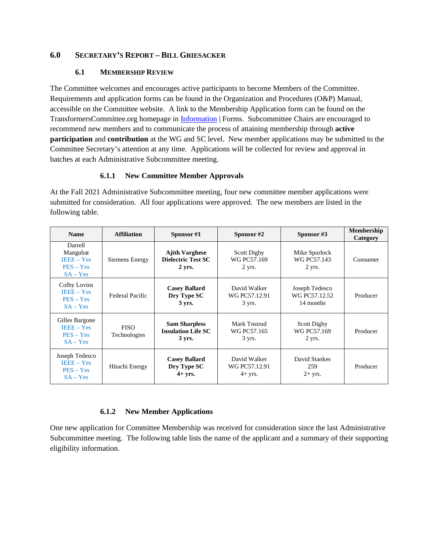### **6.0 SECRETARY'S REPORT – BILL GRIESACKER**

#### **6.1 MEMBERSHIP REVIEW**

The Committee welcomes and encourages active participants to become Members of the Committee. Requirements and application forms can be found in the Organization and Procedures (O&P) Manual, accessible on the Committee website. A link to the Membership Application form can be found on the TransformersCommittee.org homepage in [Information](https://www.transformerscommittee.org/information/) | Forms. Subcommittee Chairs are encouraged to recommend new members and to communicate the process of attaining membership through **active participation** and **contribution** at the WG and SC level. New member applications may be submitted to the Committee Secretary's attention at any time. Applications will be collected for review and approval in batches at each Administrative Subcommittee meeting.

#### **6.1.1 New Committee Member Approvals**

At the Fall 2021 Administrative Subcommittee meeting, four new committee member applications were submitted for consideration. All four applications were approved. The new members are listed in the following table.

| <b>Name</b>                                                      | <b>Affiliation</b>          | Sponsor $#1$                                                         | Sponsor #2                                 | Sponsor #3                                   | <b>Membership</b><br>Category |
|------------------------------------------------------------------|-----------------------------|----------------------------------------------------------------------|--------------------------------------------|----------------------------------------------|-------------------------------|
| Darrell<br>Mangubat<br>$IEEE - Yes$<br>$PES - Yes$<br>$SA - Yes$ | Siemens Energy              | <b>Ajith Varghese</b><br><b>Dielectric Test SC</b><br>$2 \gamma$ rs. | Scott Digby<br>WG PC57.169<br>$2$ yrs.     | Mike Spurlock<br>WG PC57.143<br>$2$ yrs.     | Consumer                      |
| Colby Lovins<br>$IEEE - Yes$<br>$PES - Yes$<br>$SA - Yes$        | Federal Pacific             | <b>Casey Ballard</b><br>Dry Type SC<br>3 yrs.                        | David Walker<br>WG PC57.12.91<br>3 yrs.    | Joseph Tedesco<br>WG PC57.12.52<br>14 months | Producer                      |
| Gilles Bargone<br>$IEEE - Yes$<br>$PES - Yes$<br>$SA - Yes$      | <b>FISO</b><br>Technologies | <b>Sam Sharpless</b><br><b>Insulation Life SC</b><br>$3 \,$ yrs.     | Mark Tostrud<br>WG PC57.165<br>3 yrs.      | Scott Digby<br>WG PC57.169<br>$2$ yrs.       | Producer                      |
| Joseph Tedesco<br>$IEEE - Yes$<br>$PES - Yes$<br>$SA - Yes$      | Hitachi Energy              | <b>Casey Ballard</b><br>Dry Type SC<br>$4+ yrs.$                     | David Walker<br>WG PC57.12.91<br>$4+$ yrs. | David Stankes<br>259<br>$2+$ yrs.            | Producer                      |

### **6.1.2 New Member Applications**

One new application for Committee Membership was received for consideration since the last Administrative Subcommittee meeting. The following table lists the name of the applicant and a summary of their supporting eligibility information.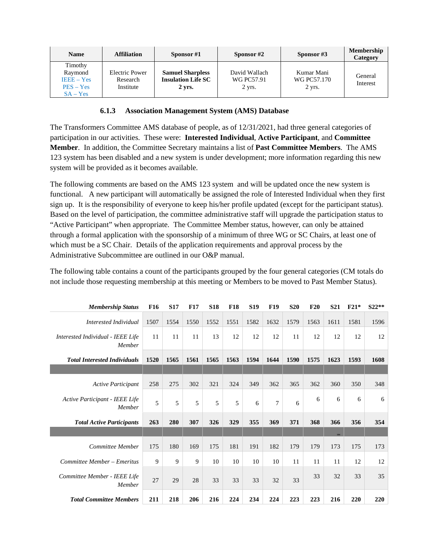| <b>Name</b>  | <b>Affiliation</b> | Sponsor $#1$              | Sponsor #2      | Sponsor $#3$ | <b>Membership</b><br>Category |
|--------------|--------------------|---------------------------|-----------------|--------------|-------------------------------|
| Timothy      |                    |                           |                 |              |                               |
| Raymond      | Electric Power     | <b>Samuel Sharpless</b>   | David Wallach   | Kumar Mani   |                               |
| $IEEE - Yes$ | Research           | <b>Insulation Life SC</b> | WG PC57.91      | WG PC57.170  | General<br>Interest           |
| $PES - Yes$  | Institute          | 2 yrs.                    | $2 \gamma$ yrs. | 2 yrs.       |                               |
| $SA - Yes$   |                    |                           |                 |              |                               |

#### **6.1.3 Association Management System (AMS) Database**

The Transformers Committee AMS database of people, as of 12/31/2021, had three general categories of participation in our activities. These were: **Interested Individual**, **Active Participant**, and **Committee Member**. In addition, the Committee Secretary maintains a list of **Past Committee Members**. The AMS 123 system has been disabled and a new system is under development; more information regarding this new system will be provided as it becomes available.

The following comments are based on the AMS 123 system and will be updated once the new system is functional. A new participant will automatically be assigned the role of Interested Individual when they first sign up. It is the responsibility of everyone to keep his/her profile updated (except for the participant status). Based on the level of participation, the committee administrative staff will upgrade the participation status to "Active Participant" when appropriate. The Committee Member status, however, can only be attained through a formal application with the sponsorship of a minimum of three WG or SC Chairs, at least one of which must be a SC Chair. Details of the application requirements and approval process by the Administrative Subcommittee are outlined in our O&P manual.

The following table contains a count of the participants grouped by the four general categories (CM totals do not include those requesting membership at this meeting or Members to be moved to Past Member Status).

| <b>Membership Status</b>                        | <b>F16</b> | <b>S17</b> | <b>F17</b> | <b>S18</b> | <b>F18</b> | <b>S19</b> | <b>F19</b>     | <b>S20</b> | F20  | <b>S21</b> | $F21*$ | $S22**$ |
|-------------------------------------------------|------------|------------|------------|------------|------------|------------|----------------|------------|------|------------|--------|---------|
| Interested Individual                           | 1507       | 1554       | 1550       | 1552       | 1551       | 1582       | 1632           | 1579       | 1563 | 1611       | 1581   | 1596    |
| Interested Individual - IEEE Life<br>Member     | 11         | 11         | 11         | 13         | 12         | 12         | 12             | 11         | 12   | 12         | 12     | 12      |
| <b>Total Interested Individuals</b>             | 1520       | 1565       | 1561       | 1565       | 1563       | 1594       | 1644           | 1590       | 1575 | 1623       | 1593   | 1608    |
|                                                 |            |            |            |            |            |            |                |            |      |            |        |         |
| Active Participant                              | 258        | 275        | 302        | 321        | 324        | 349        | 362            | 365        | 362  | 360        | 350    | 348     |
| <b>Active Participant - IEEE Life</b><br>Member | 5          | 5          | 5          | 5          | 5          | 6          | $\overline{7}$ | 6          | 6    | 6          | 6      | 6       |
| <b>Total Active Participants</b>                | 263        | 280        | 307        | 326        | 329        | 355        | 369            | 371        | 368  | 366        | 356    | 354     |
|                                                 |            |            |            |            |            |            |                |            |      | 184        |        |         |
| Committee Member                                | 175        | 180        | 169        | 175        | 181        | 191        | 182            | 179        | 179  | 173        | 175    | 173     |
| Committee Member - Emeritus                     | 9          | 9          | 9          | 10         | 10         | 10         | 10             | 11         | 11   | 11         | 12     | 12      |
| Committee Member - IEEE Life<br>Member          | 27         | 29         | 28         | 33         | 33         | 33         | 32             | 33         | 33   | 32         | 33     | 35      |
| <b>Total Committee Members</b>                  | 211        | 218        | 206        | 216        | 224        | 234        | 224            | 223        | 223  | 216        | 220    | 220     |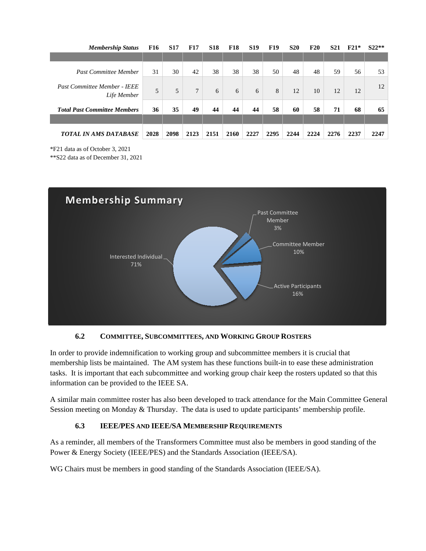| <b>Membership Status</b>                           | F16  | <b>S17</b> | <b>F17</b>      | <b>S18</b> | <b>F18</b> | <b>S19</b> | <b>F19</b> | <b>S20</b> | <b>F20</b> | <b>S21</b> | $F21*$ | $S22**$ |
|----------------------------------------------------|------|------------|-----------------|------------|------------|------------|------------|------------|------------|------------|--------|---------|
|                                                    |      |            |                 |            |            |            |            |            |            |            |        |         |
| <b>Past Committee Member</b>                       | 31   | 30         | 42              | 38         | 38         | 38         | 50         | 48         | 48         | 59         | 56     | 53      |
| <b>Past Committee Member - IEEE</b><br>Life Member | 5    | 5          | $7\phantom{.0}$ | 6          | 6          | 6          | 8          | 12         | 10         | 12         | 12     | 12      |
| <b>Total Past Committee Members</b>                | 36   | 35         | 49              | 44         | 44         | 44         | 58         | 60         | 58         | 71         | 68     | 65      |
|                                                    |      |            |                 |            |            |            |            |            |            |            |        |         |
| <b>TOTAL IN AMS DATABASE</b>                       | 2028 | 2098       | 2123            | 2151       | 2160       | 2227       | 2295       | 2244       | 2224       | 2276       | 2237   | 2247    |

\*F21 data as of October 3, 2021

\*\*S22 data as of December 31, 2021



### **6.2 COMMITTEE, SUBCOMMITTEES, AND WORKING GROUP ROSTERS**

In order to provide indemnification to working group and subcommittee members it is crucial that membership lists be maintained. The AM system has these functions built-in to ease these administration tasks. It is important that each subcommittee and working group chair keep the rosters updated so that this information can be provided to the IEEE SA.

A similar main committee roster has also been developed to track attendance for the Main Committee General Session meeting on Monday & Thursday. The data is used to update participants' membership profile.

### **6.3 IEEE/PES AND IEEE/SA MEMBERSHIP REQUIREMENTS**

As a reminder, all members of the Transformers Committee must also be members in good standing of the Power & Energy Society (IEEE/PES) and the Standards Association (IEEE/SA).

WG Chairs must be members in good standing of the Standards Association (IEEE/SA).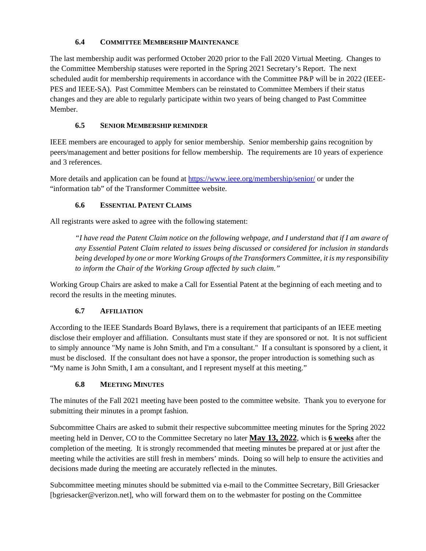# **6.4 COMMITTEE MEMBERSHIP MAINTENANCE**

The last membership audit was performed October 2020 prior to the Fall 2020 Virtual Meeting. Changes to the Committee Membership statuses were reported in the Spring 2021 Secretary's Report. The next scheduled audit for membership requirements in accordance with the Committee P&P will be in 2022 (IEEE-PES and IEEE-SA). Past Committee Members can be reinstated to Committee Members if their status changes and they are able to regularly participate within two years of being changed to Past Committee Member.

# **6.5 SENIOR MEMBERSHIP REMINDER**

IEEE members are encouraged to apply for senior membership. Senior membership gains recognition by peers/management and better positions for fellow membership. The requirements are 10 years of experience and 3 references.

More details and application can be found at<https://www.ieee.org/membership/senior/> or under the "information tab" of the Transformer Committee website.

### **6.6 ESSENTIAL PATENT CLAIMS**

All registrants were asked to agree with the following statement:

*"I have read the Patent Claim notice on the following webpage, and I understand that if I am aware of any Essential Patent Claim related to issues being discussed or considered for inclusion in standards being developed by one or more Working Groups of the Transformers Committee, it is my responsibility to inform the Chair of the Working Group affected by such claim."*

Working Group Chairs are asked to make a Call for Essential Patent at the beginning of each meeting and to record the results in the meeting minutes.

### **6.7 AFFILIATION**

According to the IEEE Standards Board Bylaws, there is a requirement that participants of an IEEE meeting disclose their employer and affiliation. Consultants must state if they are sponsored or not. It is not sufficient to simply announce "My name is John Smith, and I'm a consultant." If a consultant is sponsored by a client, it must be disclosed. If the consultant does not have a sponsor, the proper introduction is something such as "My name is John Smith, I am a consultant, and I represent myself at this meeting."

# **6.8 MEETING MINUTES**

The minutes of the Fall 2021 meeting have been posted to the committee website. Thank you to everyone for submitting their minutes in a prompt fashion.

Subcommittee Chairs are asked to submit their respective subcommittee meeting minutes for the Spring 2022 meeting held in Denver, CO to the Committee Secretary no later **May 13, 2022**, which is **6 weeks** after the completion of the meeting. It is strongly recommended that meeting minutes be prepared at or just after the meeting while the activities are still fresh in members' minds. Doing so will help to ensure the activities and decisions made during the meeting are accurately reflected in the minutes.

Subcommittee meeting minutes should be submitted via e-mail to the Committee Secretary, Bill Griesacker [bgriesacker@verizon.net], who will forward them on to the webmaster for posting on the Committee